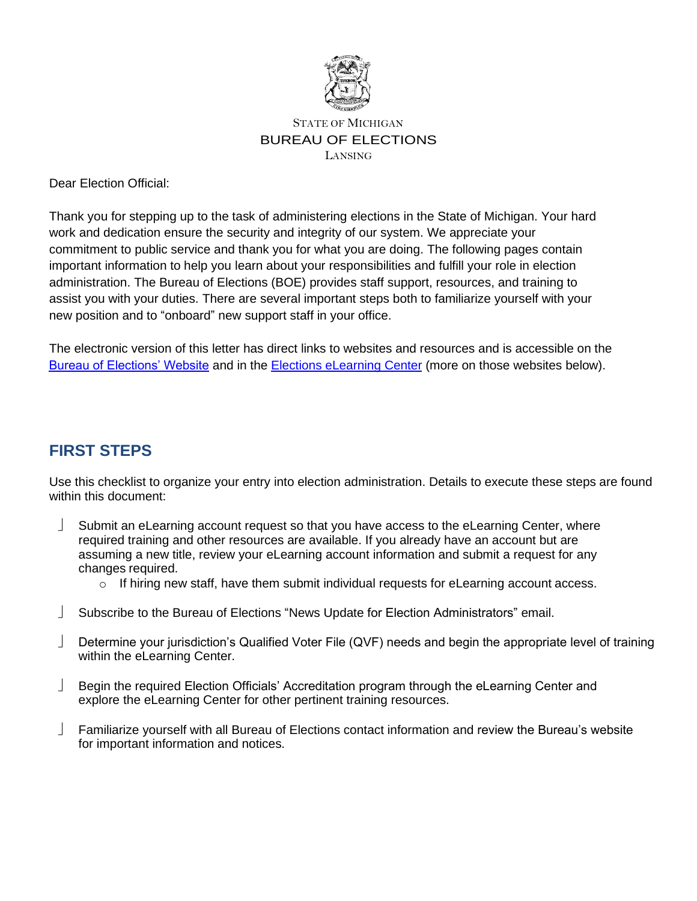

#### STATE OF MICHIGAN BUREAU OF ELECTIONS LANSING

<span id="page-0-0"></span>Dear Election Official:

Thank you for stepping up to the task of administering elections in the State of Michigan. Your hard work and dedication ensure the security and integrity of our system. We appreciate your commitment to public service and thank you for what you are doing. The following pages contain important information to help you learn about your responsibilities and fulfill your role in election administration. The Bureau of Elections (BOE) provides staff support, resources, and training to assist you with your duties. There are several important steps both to familiarize yourself with your new position and to "onboard" new support staff in your office.

The electronic version of this letter has direct links to websites and resources and is accessible on the [Bureau of Elections' Website](file:///C:/Users/MillardR1/Desktop/michigan.gov/elections) and in the [Elections eLearning Center](file:///C:/Users/MillardR1/Desktop/mielections.csod.com) (more on those websites below).

# **FIRST STEPS**

Use this checklist to organize your entry into election administration. Details to execute these steps are found within this document:

- Submit an eLearning account request so that you have access to the eLearning Center, where required training and other resources are available. If you already have an account but are assuming a new title, review your eLearning account information and submit a request for any changes required.
	- $\circ$  If hiring new staff, have them submit individual requests for eLearning account access.
- Subscribe to the Bureau of Elections "News Update for Election Administrators" email.
- Determine your jurisdiction's Qualified Voter File (QVF) needs and begin the appropriate level of training within the eLearning Center.
- Begin the required Election Officials' Accreditation program through the eLearning Center and explore the eLearning Center for other pertinent training resources.
- Familiarize yourself with all Bureau of Elections contact information and review the Bureau's website for important information and notices.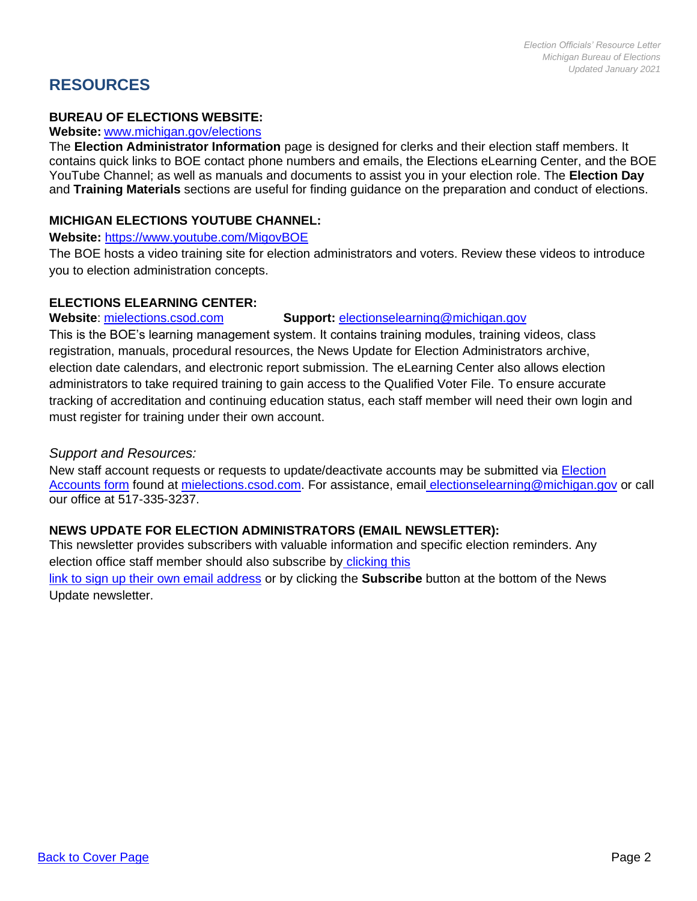# **RESOURCES**

### **BUREAU OF ELECTIONS WEBSITE:**

#### **Website:** [www.michigan.gov/elections](http://www.michigan.gov/elections)

The **Election Administrator Information** page is designed for clerks and their election staff members. It contains quick links to BOE contact phone numbers and emails, the Elections eLearning Center, and the BOE YouTube Channel; as well as manuals and documents to assist you in your election role. The **Election Day**  and **Training Materials** sections are useful for finding guidance on the preparation and conduct of elections.

## **MICHIGAN ELECTIONS YOUTUBE CHANNEL:**

#### **Website:** https:[//www.youtube.com/MigovBOE](http://www.youtube.com/MigovBOE)

The BOE hosts a video training site for election administrators and voters. Review these videos to introduce you to election administration concepts.

#### **ELECTIONS ELEARNING CENTER:**

#### **Website**: [mielections.csod.com](https://mielections.csod.com/client/mielections/default.aspx) **Support:** [electionselearning@michigan.gov](mailto:electionselearning@michigan.gov)

This is the BOE's learning management system. It contains training modules, training videos, class registration, manuals, procedural resources, the News Update for Election Administrators archive, election date calendars, and electronic report submission. The eLearning Center also allows election administrators to take required training to gain access to the Qualified Voter File. To ensure accurate tracking of accreditation and continuing education status, each staff member will need their own login and must register for training under their own account.

### *Support and Resources:*

New staff account requests or requests to update/deactivate accounts may be submitted via **Election** [Accounts form](https://www.michigan.gov/documents/sos/Accounts_504484_7.pdf) found at [mielections.csod.com.](https://mielections.csod.com/client/mielections/default.aspx) For assistance, email [electionselearning@michigan.gov](mailto:electionselearning@michigan.gov) or call our office at 517-335-3237.

## **NEWS UPDATE FOR ELECTION ADMINISTRATORS (EMAIL NEWSLETTER):**

This newsletter provides subscribers with valuable information and specific election reminders. Any election office staff member should also subscribe by [clicking this](https://public.govdelivery.com/accounts/MISOS/subscriber/new?topic_id=MISOS_48)

[link to sign up their own email address](https://public.govdelivery.com/accounts/MISOS/subscriber/new?topic_id=MISOS_48) or by clicking the **Subscribe** button at the bottom of the News Update newsletter.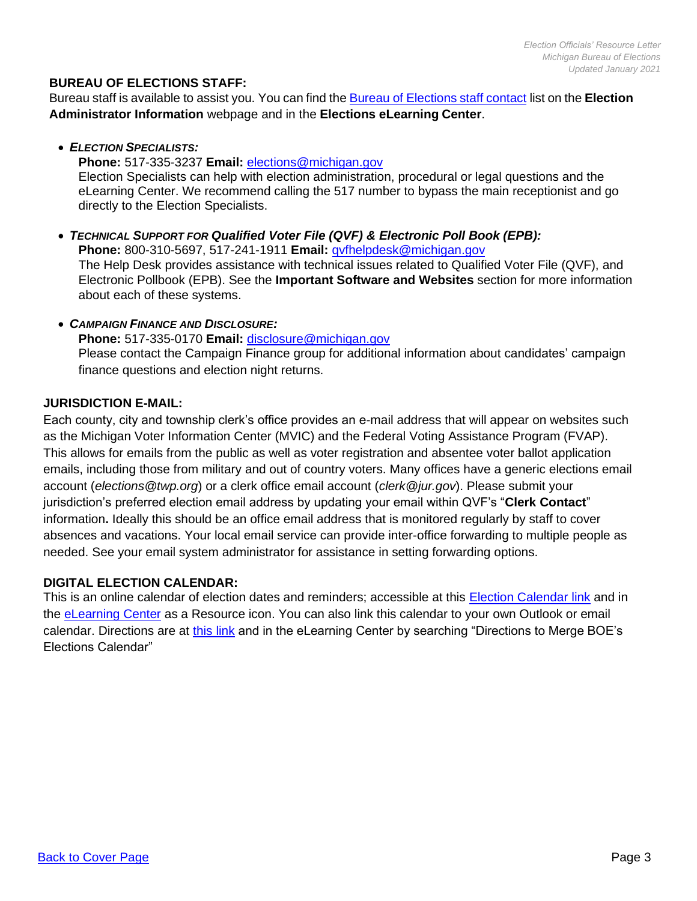### **BUREAU OF ELECTIONS STAFF:**

Bureau staff is available to assist you. You can find the Bureau of [Elections](https://www.michigan.gov/documents/sos/contact_us_new_card_415297_7.pdf) staff contact list on the **Election Administrator Information** webpage and in the **Elections eLearning Center**.

• *ELECTION SPECIALISTS:* **Phone:** 517-335-3237 **Email:** [elections@michigan.gov](mailto:elections@michigan.gov) Election Specialists can help with election administration, procedural or legal questions and the eLearning Center. We recommend calling the 517 number to bypass the main receptionist and go directly to the Election Specialists.

• *TECHNICAL SUPPORT FOR Qualified Voter File (QVF) & Electronic Poll Book (EPB):* **Phone:** 800-310-5697, 517-241-1911 **Email:** [qvfhelpdesk@michigan.gov](mailto:qvfhelpdesk@michigan.gov) The Help Desk provides assistance with technical issues related to Qualified Voter File (QVF), and Electronic Pollbook (EPB). See the **Important Software and Websites** section for more information about each of these systems.

#### • *CAMPAIGN FINANCE AND DISCLOSURE:* **Phone:** 517-335-0170 **Email:** [disclosure@michigan.gov](mailto:disclosure@michigan.gov) Please contact the Campaign Finance group for additional information about candidates' campaign finance questions and election night returns.

## **JURISDICTION E-MAIL:**

Each county, city and township clerk's office provides an e-mail address that will appear on websites such as the Michigan Voter Information Center (MVIC) and the Federal Voting Assistance Program (FVAP). This allows for emails from the public as well as voter registration and absentee voter ballot application emails, including those from military and out of country voters. Many offices have a generic elections email account (*elections@twp.org*) or a clerk office email account (*clerk@jur.gov*). Please submit your jurisdiction's preferred election email address by updating your email within QVF's "**Clerk Contact**" information**.** Ideally this should be an office email address that is monitored regularly by staff to cover absences and vacations. Your local email service can provide inter-office forwarding to multiple people as needed. See your email system administrator for assistance in setting forwarding options.

#### **DIGITAL ELECTION CALENDAR:**

This is an online calendar of election dates and reminders; accessible at this Election Calendar link and in the [eLearning Center](https://mielections.csod.com/ui/lms-learning-details/app/material/00d0d823-a663-471d-815f-8bdd9f6c7a8b) as a Resource icon. You can also link this calendar to your own Outlook or email calendar. Directions are at [this link](https://mielections.csod.com/clientimg/mielections/MaterialSource/8e2c0dce-f418-4bc1-83a8-c7ba0a34e27e_Merge%20Digital.pdf) and in the eLearning Center by searching "Directions to Merge BOE's Elections Calendar"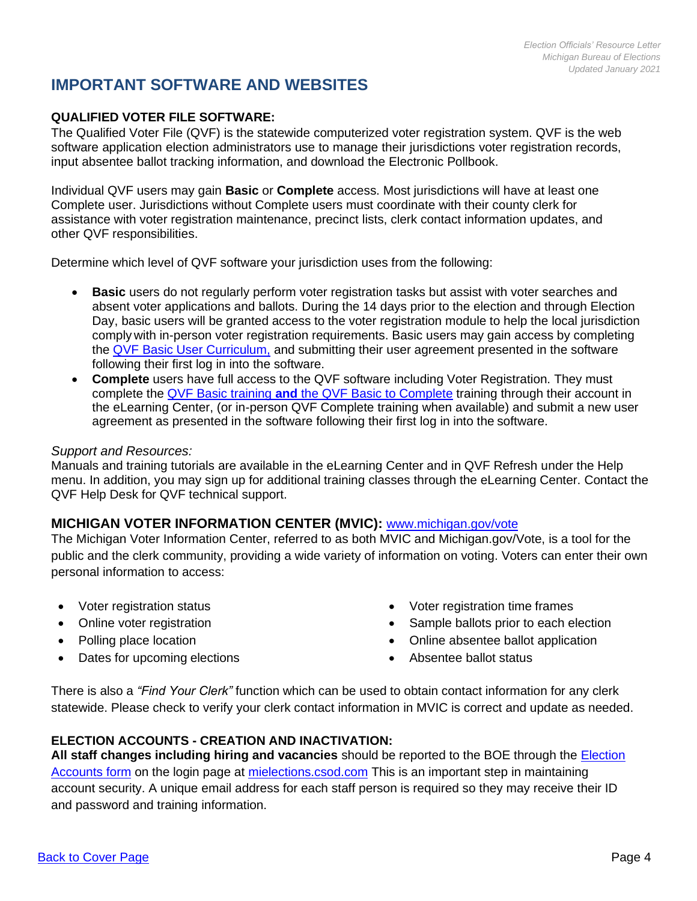# **IMPORTANT SOFTWARE AND WEBSITES**

## **QUALIFIED VOTER FILE SOFTWARE:**

The Qualified Voter File (QVF) is the statewide computerized voter registration system. QVF is the web software application election administrators use to manage their jurisdictions voter registration records, input absentee ballot tracking information, and download the Electronic Pollbook.

Individual QVF users may gain **Basic** or **Complete** access. Most jurisdictions will have at least one Complete user. Jurisdictions without Complete users must coordinate with their county clerk for assistance with voter registration maintenance, precinct lists, clerk contact information updates, and other QVF responsibilities.

Determine which level of QVF software your jurisdiction uses from the following:

- **Basic** users do not regularly perform voter registration tasks but assist with voter searches and absent voter applications and ballots. During the 14 days prior to the election and through Election Day, basic users will be granted access to the voter registration module to help the local jurisdiction comply with in-person voter registration requirements. Basic users may gain access by completing the [QVF](https://mielections.csod.com/ui/lms-learning-details/app/curriculum/cc9d1626-4624-49ea-8699-5a125c94e703) [Basic User Curriculum,](https://mielections.csod.com/ui/lms-learning-details/app/curriculum/cc9d1626-4624-49ea-8699-5a125c94e703) and submitting their user agreement presented in the software following their first log in into the software.
- **Complete** users have full access to the QVF software including Voter Registration. They must complete the QVF Basic training **and** [the QVF Basic to Complete](https://mielections.csod.com/ui/lms-learning-details/app/course/a9eb8766-8aa8-47ed-96a8-652f337a069d) training through their account in the eLearning Center, (or in-person QVF Complete training when available) and submit a new user agreement as presented in the software following their first log in into the software.

#### *Support and Resources:*

Manuals and training tutorials are available in the eLearning Center and in QVF Refresh under the Help menu. In addition, you may sign up for additional training classes through the eLearning Center. Contact the QVF Help Desk for QVF technical support.

#### **MICHIGAN VOTER INFORMATION CENTER (MVIC):** [www.michigan.gov/vote](http://www.michigan.gov/vote)

The Michigan Voter Information Center, referred to as both MVIC and Michigan.gov/Vote, is a tool for the public and the clerk community, providing a wide variety of information on voting. Voters can enter their own personal information to access:

- Voter registration status
- Online voter registration
- Polling place location
- Dates for upcoming elections
- Voter registration time frames
- Sample ballots prior to each election
- Online absentee ballot application
- Absentee ballot status

There is also a *"Find Your Clerk"* function which can be used to obtain contact information for any clerk statewide. Please check to verify your clerk contact information in MVIC is correct and update as needed.

#### **ELECTION ACCOUNTS - CREATION AND INACTIVATION:**

**All staff changes including hiring and vacancies** should be reported to the BOE through the [Election](https://www.michigan.gov/documents/sos/Accounts_504484_7.pdf) [Accounts form](https://www.michigan.gov/documents/sos/Accounts_504484_7.pdf) on the login page at [mielections.csod.com](https://mielections.csod.com/client/mielections/default.aspx) This is an important step in maintaining account security. A unique email address for each staff person is required so they may receive their ID and password and training information.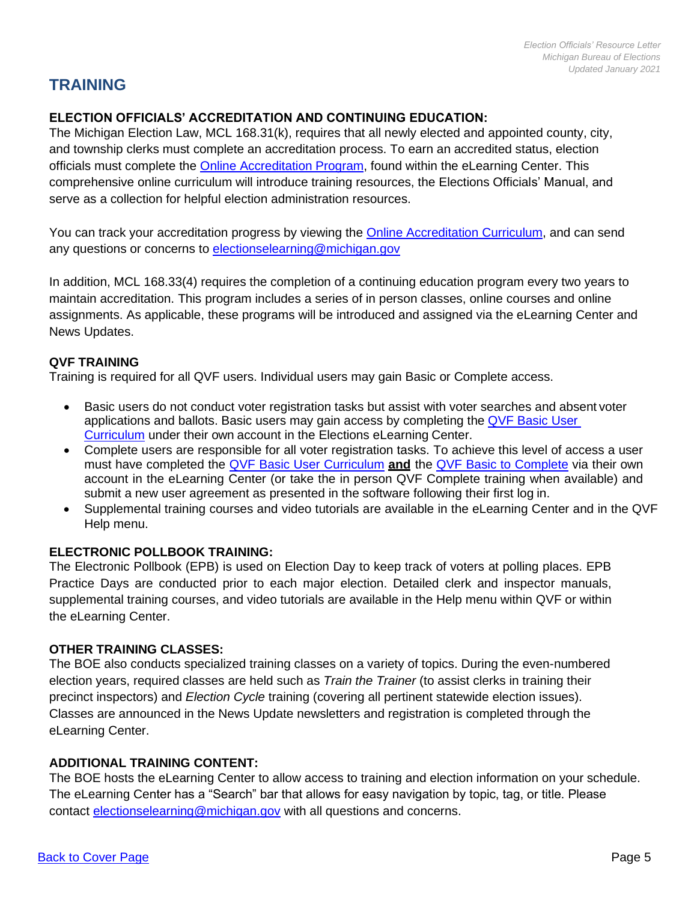# **TRAINING**

# **ELECTION OFFICIALS' ACCREDITATION AND CONTINUING EDUCATION:**

The Michigan Election Law, MCL 168.31(k), requires that all newly elected and appointed county, city, and township clerks must complete an accreditation process. To earn an accredited status, election officials must complete the [Online Accreditation Program,](https://mielections.csod.com/ui/lms-learning-details/app/curriculum/88fa9584-9520-452a-a12b-9db72fd9f9e1) found within the eLearning Center. This comprehensive online curriculum will introduce training resources, the Elections Officials' Manual, and serve as a collection for helpful election administration resources.

You can track your accreditation progress by viewing the [Online Accreditation Curriculum,](https://mielections.csod.com/ui/lms-learning-details/app/curriculum/88fa9584-9520-452a-a12b-9db72fd9f9e1) and can send any questions or concerns to [electionselearning@michigan.gov](mailto:electionselearning@michigan.gov)

In addition, MCL 168.33(4) requires the completion of a continuing education program every two years to maintain accreditation. This program includes a series of in person classes, online courses and online assignments. As applicable, these programs will be introduced and assigned via the eLearning Center and News Updates.

## **QVF TRAINING**

Training is required for all QVF users. Individual users may gain Basic or Complete access.

- Basic users do not conduct voter registration tasks but assist with voter searches and absent voter applications and ballots. Basic users may gain access by completing the [QVF Basic User](https://mielections.csod.com/ui/lms-learning-details/app/curriculum/cc9d1626-4624-49ea-8699-5a125c94e703) [Curriculum](https://mielections.csod.com/ui/lms-learning-details/app/curriculum/cc9d1626-4624-49ea-8699-5a125c94e703) under their own account in the Elections eLearning Center.
- Complete users are responsible for all voter registration tasks. To achieve this level of access a user must have completed the [QVF Basic User Curriculum](https://mielections.csod.com/ui/lms-learning-details/app/curriculum/cc9d1626-4624-49ea-8699-5a125c94e703) **and** the [QVF Basic to Complete](https://mielections.csod.com/ui/lms-learning-details/app/course/a9eb8766-8aa8-47ed-96a8-652f337a069d) via their own account in the eLearning Center (or take the in person QVF Complete training when available) and submit a new user agreement as presented in the software following their first log in.
- Supplemental training courses and video tutorials are available in the eLearning Center and in the QVF Help menu.

## **ELECTRONIC POLLBOOK TRAINING:**

The Electronic Pollbook (EPB) is used on Election Day to keep track of voters at polling places. EPB Practice Days are conducted prior to each major election. Detailed clerk and inspector manuals, supplemental training courses, and video tutorials are available in the Help menu within QVF or within the eLearning Center.

#### **OTHER TRAINING CLASSES:**

The BOE also conducts specialized training classes on a variety of topics. During the even-numbered election years, required classes are held such as *Train the Trainer* (to assist clerks in training their precinct inspectors) and *Election Cycle* training (covering all pertinent statewide election issues). Classes are announced in the News Update newsletters and registration is completed through the eLearning Center.

## **ADDITIONAL TRAINING CONTENT:**

The BOE hosts the eLearning Center to allow access to training and election information on your schedule. The eLearning Center has a "Search" bar that allows for easy navigation by topic, tag, or title. Please contact [electionselearning@michigan.gov](mailto:electionselearning@michigan.gov) with all questions and concerns.